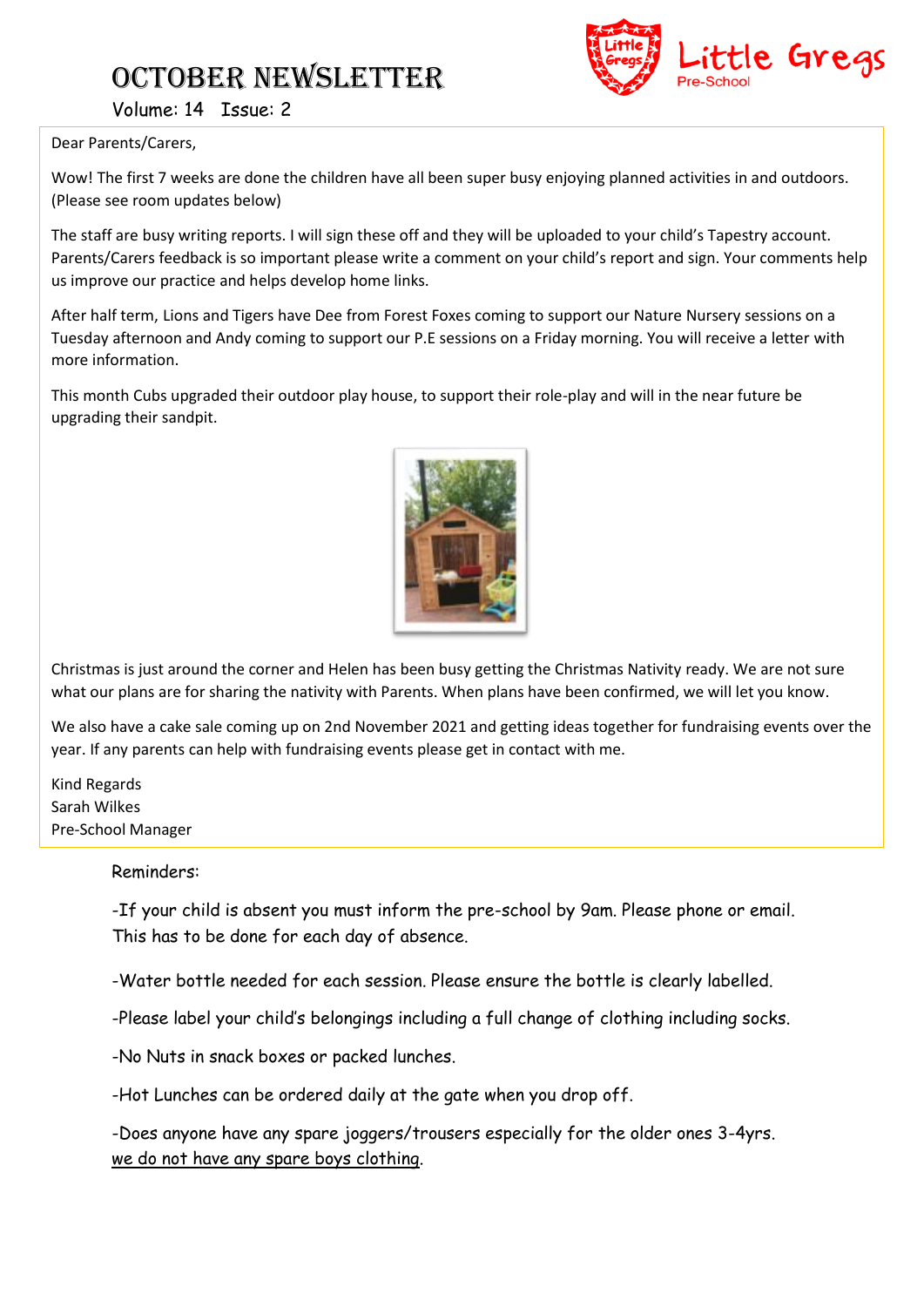# October NEWSLETTER



Volume: 14 Issue: 2

#### Dear Parents/Carers,

Wow! The first 7 weeks are done the children have all been super busy enjoying planned activities in and outdoors. (Please see room updates below)

The staff are busy writing reports. I will sign these off and they will be uploaded to your child's Tapestry account. Parents/Carers feedback is so important please write a comment on your child's report and sign. Your comments help us improve our practice and helps develop home links.

After half term, Lions and Tigers have Dee from Forest Foxes coming to support our Nature Nursery sessions on a Tuesday afternoon and Andy coming to support our P.E sessions on a Friday morning. You will receive a letter with more information.

This month Cubs upgraded their outdoor play house, to support their role-play and will in the near future be upgrading their sandpit.



Christmas is just around the corner and Helen has been busy getting the Christmas Nativity ready. We are not sure what our plans are for sharing the nativity with Parents. When plans have been confirmed, we will let you know.

We also have a cake sale coming up on 2nd November 2021 and getting ideas together for fundraising events over the year. If any parents can help with fundraising events please get in contact with me.

Kind Regards Sarah Wilkes Pre-School Manager

#### Reminders:

-If your child is absent you must inform the pre-school by 9am. Please phone or email. This has to be done for each day of absence.

-Water bottle needed for each session. Please ensure the bottle is clearly labelled.

-Please label your child's belongings including a full change of clothing including socks.

-No Nuts in snack boxes or packed lunches.

-Hot Lunches can be ordered daily at the gate when you drop off.

-Does anyone have any spare joggers/trousers especially for the older ones 3-4yrs. we do not have any spare boys clothing.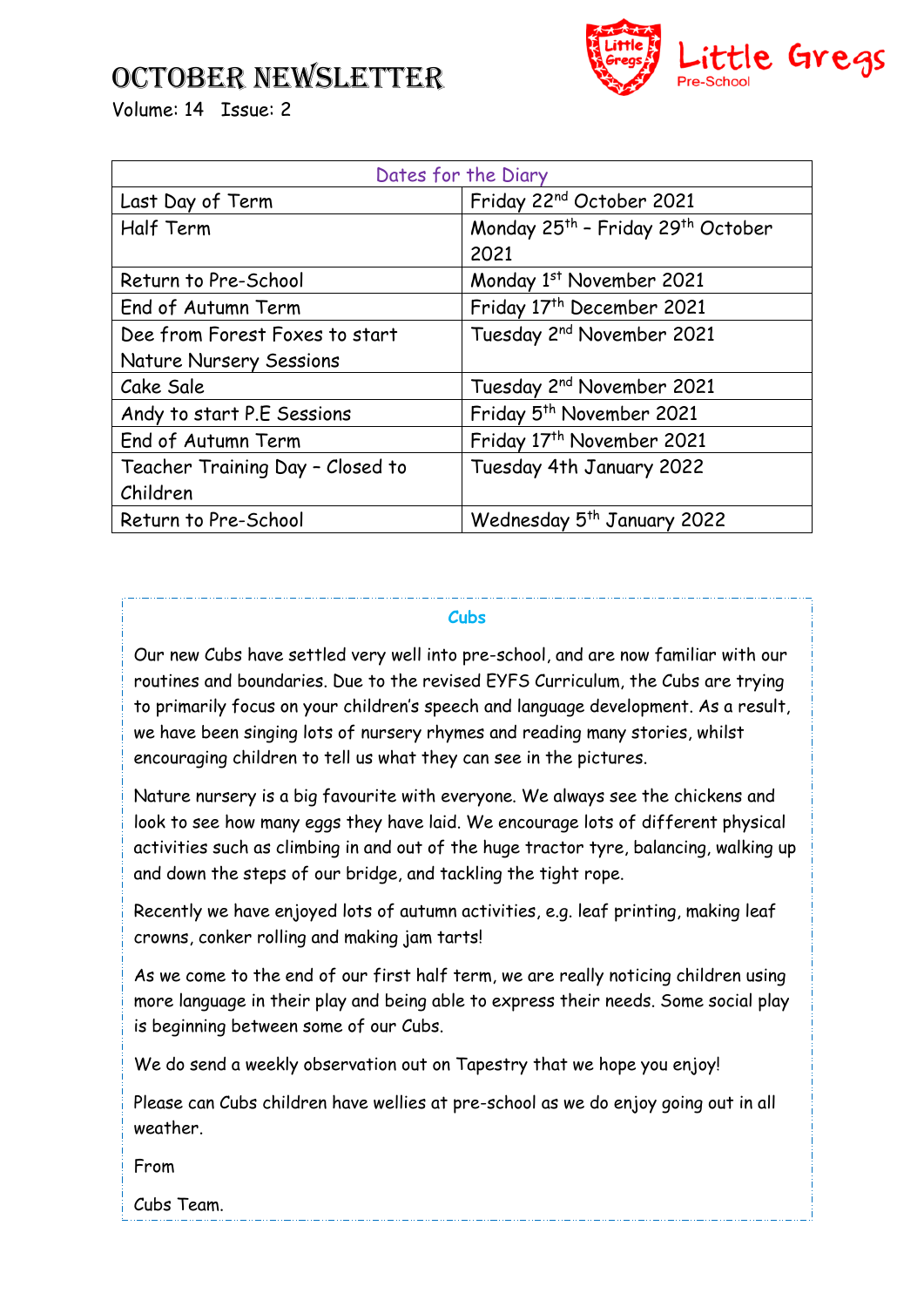## October NEWSLETTER



Volume: 14 Issue: 2

| Dates for the Diary              |                                                           |
|----------------------------------|-----------------------------------------------------------|
| Last Day of Term                 | Friday 22 <sup>nd</sup> October 2021                      |
| Half Term                        | Monday 25 <sup>th</sup> - Friday 29 <sup>th</sup> October |
|                                  | 2021                                                      |
| Return to Pre-School             | Monday 1st November 2021                                  |
| End of Autumn Term               | Friday 17 <sup>th</sup> December 2021                     |
| Dee from Forest Foxes to start   | Tuesday 2 <sup>nd</sup> November 2021                     |
| <b>Nature Nursery Sessions</b>   |                                                           |
| Cake Sale                        | Tuesday 2 <sup>nd</sup> November 2021                     |
| Andy to start P.E Sessions       | Friday 5 <sup>th</sup> November 2021                      |
| End of Autumn Term               | Friday 17 <sup>th</sup> November 2021                     |
| Teacher Training Day - Closed to | Tuesday 4th January 2022                                  |
| Children                         |                                                           |
| Return to Pre-School             | Wednesday 5 <sup>th</sup> January 2022                    |

### **Cubs**

Our new Cubs have settled very well into pre-school, and are now familiar with our routines and boundaries. Due to the revised EYFS Curriculum, the Cubs are trying to primarily focus on your children's speech and language development. As a result, we have been singing lots of nursery rhymes and reading many stories, whilst encouraging children to tell us what they can see in the pictures.

Nature nursery is a big favourite with everyone. We always see the chickens and look to see how many eggs they have laid. We encourage lots of different physical activities such as climbing in and out of the huge tractor tyre, balancing, walking up and down the steps of our bridge, and tackling the tight rope.

Recently we have enjoyed lots of autumn activities, e.g. leaf printing, making leaf crowns, conker rolling and making jam tarts!

As we come to the end of our first half term, we are really noticing children using more language in their play and being able to express their needs. Some social play is beginning between some of our Cubs.

We do send a weekly observation out on Tapestry that we hope you enjoy!

Please can Cubs children have wellies at pre-school as we do enjoy going out in all weather.

From

Cubs Team.